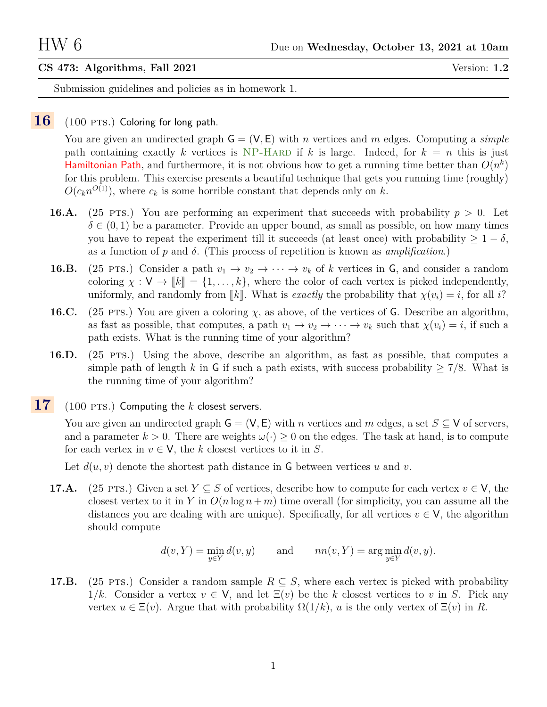## **CS 473: Algorithms, Fall 2021** Version: **1.2**

Submission guidelines and policies as in homework 1.

## 16 (100 PTS.) Coloring for long path.

You are given an undirected graph  $\mathsf{G} = (\mathsf{V}, \mathsf{E})$  with n vertices and m edges. Computing a *simple* path containing exactly k vertices is NP-HARD if k is large. Indeed, for  $k = n$  this is just Hamiltonian Path, and furthermore, it is not obvious how to get a running time better than  $O(n^k)$ for this problem. This exercise presents a beautiful technique that gets you running time (roughly)  $O(c_k n^{O(1)})$ , where  $c_k$  is some horrible constant that depends only on k.

- **16.A.** (25 PTS.) You are performing an experiment that succeeds with probability  $p > 0$ . Let  $\delta \in (0, 1)$  be a parameter. Provide an upper bound, as small as possible, on how many times you have to repeat the experiment till it succeeds (at least once) with probability  $\geq 1 - \delta$ , as a function of p and  $\delta$ . (This process of repetition is known as *amplification*.)
- **16.B.** (25 PTS.) Consider a path  $v_1 \rightarrow v_2 \rightarrow \cdots \rightarrow v_k$  of k vertices in G, and consider a random coloring  $\chi : V \to \llbracket k \rrbracket = \{1, \ldots, k\}$ , where the color of each vertex is picked independently, uniformly, and randomly from  $\llbracket k \rrbracket$ . What is *exactly* the probability that  $\chi(v_i) = i$ , for all i?
- **16.C.** (25 pts.) You are given a coloring  $\chi$ , as above, of the vertices of G. Describe an algorithm, as fast as possible, that computes, a path  $v_1 \to v_2 \to \cdots \to v_k$  such that  $\chi(v_i) = i$ , if such a path exists. What is the running time of your algorithm?
- **16.D.** (25 pts.) Using the above, describe an algorithm, as fast as possible, that computes a simple path of length k in G if such a path exists, with success probability  $\geq 7/8$ . What is the running time of your algorithm?
- 17 (100 PTS.) Computing the k closest servers.

You are given an undirected graph  $\mathsf{G} = (\mathsf{V}, \mathsf{E})$  with n vertices and m edges, a set  $S \subseteq \mathsf{V}$  of servers, and a parameter  $k > 0$ . There are weights  $\omega(\cdot) \geq 0$  on the edges. The task at hand, is to compute for each vertex in  $v \in V$ , the k closest vertices to it in S.

Let  $d(u, v)$  denote the shortest path distance in G between vertices u and v.

**17.A.** (25 PTS.) Given a set  $Y \subseteq S$  of vertices, describe how to compute for each vertex  $v \in V$ , the closest vertex to it in Y in  $O(n \log n + m)$  time overall (for simplicity, you can assume all the distances you are dealing with are unique). Specifically, for all vertices  $v \in V$ , the algorithm should compute

$$
d(v, Y) = \min_{y \in Y} d(v, y) \quad \text{and} \quad nn(v, Y) = \arg\min_{y \in Y} d(v, y).
$$

<span id="page-0-0"></span>**17.B.** (25 PTS.) Consider a random sample  $R \subseteq S$ , where each vertex is picked with probability  $1/k$ . Consider a vertex  $v \in V$ , and let  $\Xi(v)$  be the k closest vertices to v in S. Pick any vertex  $u \in \Xi(v)$ . Argue that with probability  $\Omega(1/k)$ , u is the only vertex of  $\Xi(v)$  in R.